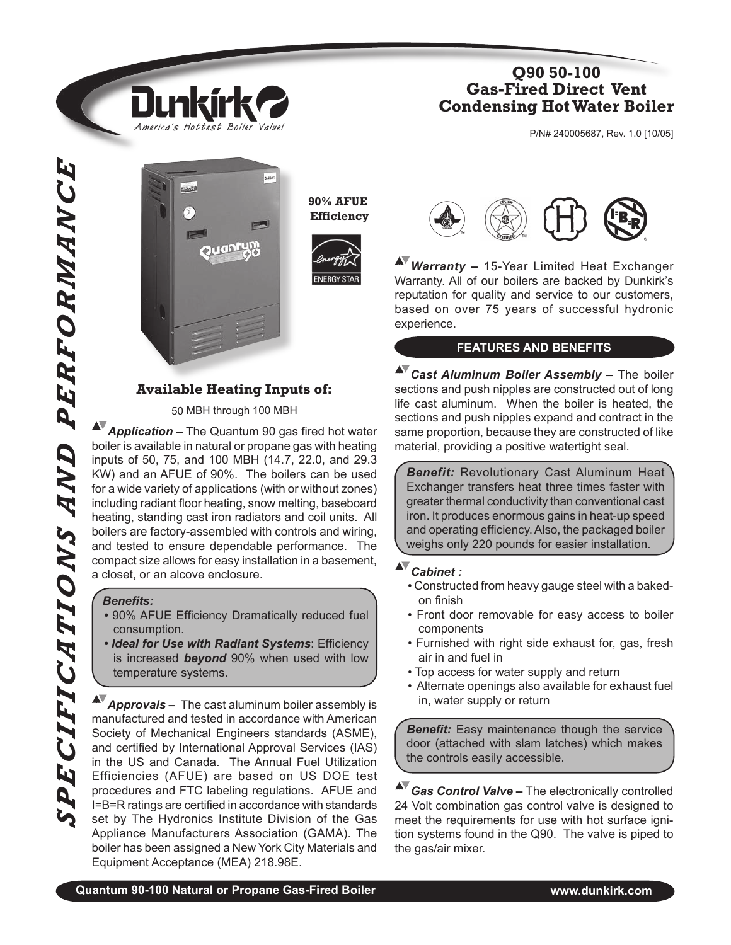

Dunkírk

America's Hottest Boiler

**90% AFUE Efficiency**



## **Available Heating Inputs of:**

50 MBH through 100 MBH

**Application –** The Quantum 90 gas fired hot water boiler is available in natural or propane gas with heating inputs of 50, 75, and 100 MBH (14.7, 22.0, and 29.3 KW) and an AFUE of 90%. The boilers can be used for a wide variety of applications (with or without zones) including radiant floor heating, snow melting, baseboard heating, standing cast iron radiators and coil units. All boilers are factory-assembled with controls and wiring, and tested to ensure dependable performance. The compact size allows for easy installation in a basement, a closet, or an alcove enclosure.

#### **Benefits:**

- 90% AFUE Efficiency Dramatically reduced fuel consumption.
- Ideal for Use with Radiant Systems: Efficiency is increased *beyond* 90% when used with low temperature systems.

*Approvals –* The cast aluminum boiler assembly is manufactured and tested in accordance with American Society of Mechanical Engineers standards (ASME), and certified by International Approval Services (IAS) in the US and Canada. The Annual Fuel Utilization Efficiencies (AFUE) are based on US DOE test procedures and FTC labeling regulations. AFUE and I=B=R ratings are certified in accordance with standards set by The Hydronics Institute Division of the Gas Appliance Manufacturers Association (GAMA). The boiler has been assigned a New York City Materials and Equipment Acceptance (MEA) 218.98E.

# **Q90 50-100 Gas-Fired Direct Vent Condensing Hot Water Boiler**

P/N# 240005687, Rev. 1.0 [10/05]



*Warranty –* 15-Year Limited Heat Exchanger Warranty. All of our boilers are backed by Dunkirk's reputation for quality and service to our customers, based on over 75 years of successful hydronic experience.

### **FEATURES AND BENEFITS**

*Cast Aluminum Boiler Assembly –* The boiler sections and push nipples are constructed out of long life cast aluminum. When the boiler is heated, the sections and push nipples expand and contract in the same proportion, because they are constructed of like material, providing a positive watertight seal.

*Benefit:* Revolutionary Cast Aluminum Heat Exchanger transfers heat three times faster with greater thermal conductivity than conventional cast iron. It produces enormous gains in heat-up speed and operating efficiency. Also, the packaged boiler weighs only 220 pounds for easier installation.

#### $\blacktriangle$ *Cabinet :*

- Constructed from heavy gauge steel with a bakedon finish
- Front door removable for easy access to boiler components
- Furnished with right side exhaust for, gas, fresh air in and fuel in
- Top access for water supply and return
- Alternate openings also available for exhaust fuel in, water supply or return

**Benefit:** Easy maintenance though the service door (attached with slam latches) which makes the controls easily accessible.

*Gas Control Valve –* The electronically controlled 24 Volt combination gas control valve is designed to meet the requirements for use with hot surface ignition systems found in the Q90. The valve is piped to the gas/air mixer.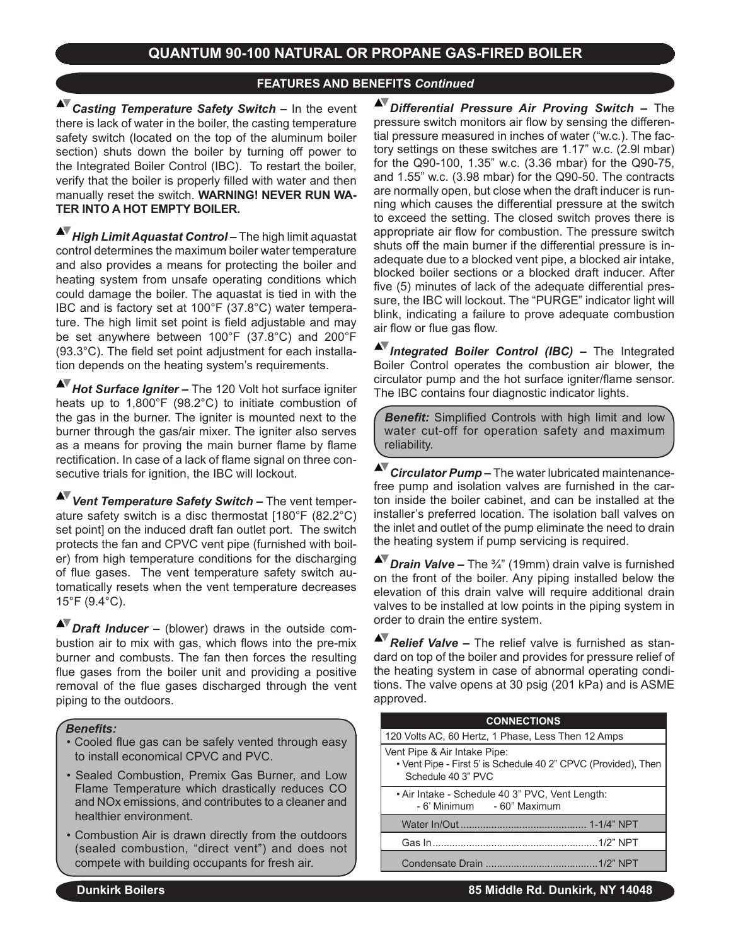## **QUANTUM 90-100 NATURAL OR PROPANE GAS-FIRED BOILER**

### **FEATURES AND BENEFITS** *Continued*

*Casting Temperature Safety Switch –* In the event there is lack of water in the boiler, the casting temperature safety switch (located on the top of the aluminum boiler section) shuts down the boiler by turning off power to the Integrated Boiler Control (IBC). To restart the boiler, verify that the boiler is properly filled with water and then manually reset the switch. **WARNING! NEVER RUN WA-TER INTO A HOT EMPTY BOILER.**

*High Limit Aquastat Control –* The high limit aquastat control determines the maximum boiler water temperature and also provides a means for protecting the boiler and heating system from unsafe operating conditions which could damage the boiler. The aquastat is tied in with the IBC and is factory set at 100°F (37.8°C) water temperature. The high limit set point is field adjustable and may be set anywhere between 100°F (37.8°C) and 200°F (93.3°C). The field set point adjustment for each installation depends on the heating system's requirements.

*Hot Surface Igniter –* The 120 Volt hot surface igniter heats up to 1,800°F (98.2°C) to initiate combustion of the gas in the burner. The igniter is mounted next to the burner through the gas/air mixer. The igniter also serves as a means for proving the main burner flame by flame rectification. In case of a lack of flame signal on three consecutive trials for ignition, the IBC will lockout.

*Vent Temperature Safety Switch –* The vent temperature safety switch is a disc thermostat [180°F (82.2°C) set point] on the induced draft fan outlet port. The switch protects the fan and CPVC vent pipe (furnished with boiler) from high temperature conditions for the discharging of flue gases. The vent temperature safety switch automatically resets when the vent temperature decreases 15°F (9.4°C).

*Draft Inducer –* (blower) draws in the outside combustion air to mix with gas, which flows into the pre-mix burner and combusts. The fan then forces the resulting flue gases from the boiler unit and providing a positive removal of the flue gases discharged through the vent piping to the outdoors.

#### *Benefits:*

- Cooled flue gas can be safely vented through easy to install economical CPVC and PVC.
- Sealed Combustion, Premix Gas Burner, and Low Flame Temperature which drastically reduces CO and NOx emissions, and contributes to a cleaner and healthier environment.
- Combustion Air is drawn directly from the outdoors (sealed combustion, "direct vent") and does not compete with building occupants for fresh air.

*Differential Pressure Air Proving Switch –* The pressure switch monitors air flow by sensing the differential pressure measured in inches of water ("w.c.). The factory settings on these switches are 1.17" w.c. (2.9l mbar) for the Q90-100, 1.35" w.c. (3.36 mbar) for the Q90-75, and 1.55" w.c. (3.98 mbar) for the Q90-50. The contracts are normally open, but close when the draft inducer is running which causes the differential pressure at the switch to exceed the setting. The closed switch proves there is appropriate air flow for combustion. The pressure switch shuts off the main burner if the differential pressure is inadequate due to a blocked vent pipe, a blocked air intake, blocked boiler sections or a blocked draft inducer. After five (5) minutes of lack of the adequate differential pressure, the IBC will lockout. The "PURGE" indicator light will blink, indicating a failure to prove adequate combustion air flow or flue gas flow.

*Integrated Boiler Control (IBC) –* The Integrated Boiler Control operates the combustion air blower, the circulator pump and the hot surface igniter/flame sensor. The IBC contains four diagnostic indicator lights.

*Benefit:* Simplified Controls with high limit and low water cut-off for operation safety and maximum reliability.

*Circulator Pump* – The water lubricated maintenancefree pump and isolation valves are furnished in the carton inside the boiler cabinet, and can be installed at the installer's preferred location. The isolation ball valves on the inlet and outlet of the pump eliminate the need to drain the heating system if pump servicing is required.

*Drain Valve –* The ¾" (19mm) drain valve is furnished on the front of the boiler. Any piping installed below the elevation of this drain valve will require additional drain valves to be installed at low points in the piping system in order to drain the entire system.

**AV** Relief Valve – The relief valve is furnished as standard on top of the boiler and provides for pressure relief of the heating system in case of abnormal operating conditions. The valve opens at 30 psig (201 kPa) and is ASME approved.

| <b>CONNECTIONS</b>                                                                                                   |
|----------------------------------------------------------------------------------------------------------------------|
| 120 Volts AC, 60 Hertz, 1 Phase, Less Then 12 Amps                                                                   |
| Vent Pipe & Air Intake Pipe:<br>• Vent Pipe - First 5' is Schedule 40 2" CPVC (Provided), Then<br>Schedule 40 3" PVC |
| . Air Intake - Schedule 40 3" PVC, Vent Length:<br>- 6' Minimum - 60" Maximum                                        |
|                                                                                                                      |
|                                                                                                                      |
|                                                                                                                      |

**Dunkirk Boilers 85 Middle Rd. Dunkirk, NY 14048**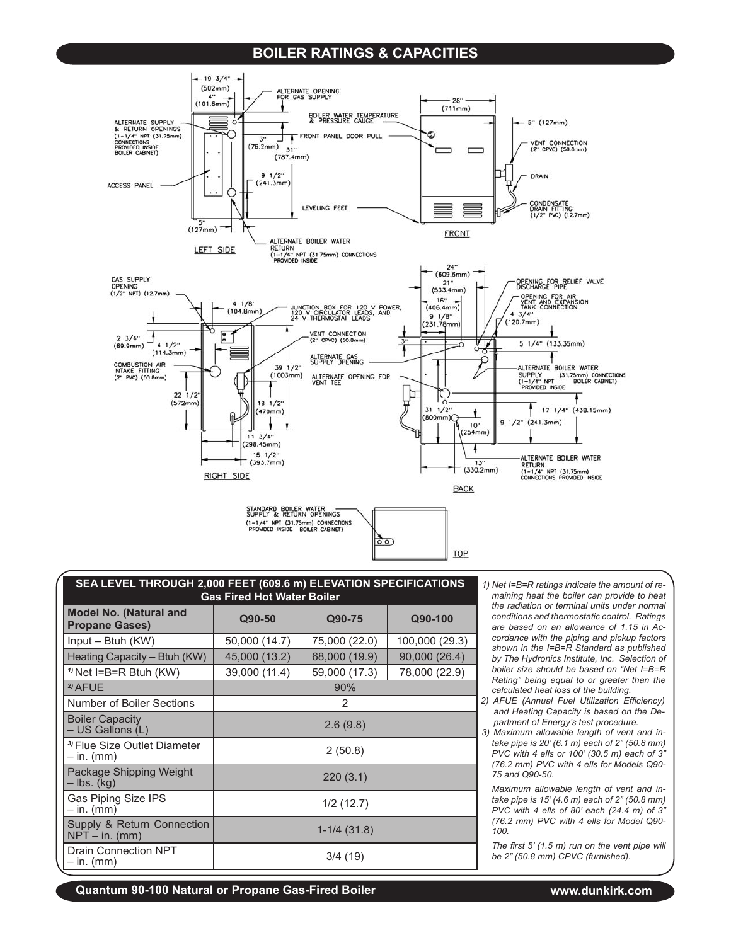# **BOILER RATINGS & CAPACITIES**



| SEA LEVEL THROUGH 2,000 FEET (609.6 m) ELEVATION SPECIFICATIONS<br><b>Gas Fired Hot Water Boiler</b> |                |               |                |  |
|------------------------------------------------------------------------------------------------------|----------------|---------------|----------------|--|
| <b>Model No. (Natural and</b><br><b>Propane Gases)</b>                                               | Q90-50         | Q90-75        | Q90-100        |  |
| $Input - But (KW)$                                                                                   | 50,000 (14.7)  | 75,000 (22.0) | 100,000 (29.3) |  |
| Heating Capacity - Btuh (KW)                                                                         | 45,000 (13.2)  | 68,000 (19.9) | 90,000 (26.4)  |  |
| $\eta$ Net I=B=R Btuh (KW)                                                                           | 39,000 (11.4)  | 59,000 (17.3) | 78,000 (22.9)  |  |
| $2)$ AFUE                                                                                            | 90%            |               |                |  |
| Number of Boiler Sections                                                                            | 2              |               |                |  |
| <b>Boiler Capacity</b><br>$-$ US Gallons $(L)$                                                       | 2.6(9.8)       |               |                |  |
| <sup>3)</sup> Flue Size Outlet Diameter<br>$-$ in. (mm)                                              | 2(50.8)        |               |                |  |
| Package Shipping Weight<br>$-$ lbs. (kg)                                                             | 220(3.1)       |               |                |  |
| Gas Piping Size IPS<br>$-$ in. (mm)                                                                  | 1/2(12.7)      |               |                |  |
| Supply & Return Connection<br>$NPT - in.$ (mm)                                                       | $1-1/4$ (31.8) |               |                |  |
| Drain Connection NPT<br>$-$ in. (mm)                                                                 | 3/4(19)        |               |                |  |

- *1) Net I=B=R ratings indicate the amount of remaining heat the boiler can provide to heat the radiation or terminal units under normal conditions and thermostatic control. Ratings are based on an allowance of 1.15 in Accordance with the piping and pickup factors shown in the I=B=R Standard as published by The Hydronics Institute, Inc. Selection of boiler size should be based on "Net I=B=R Rating" being equal to or greater than the calculated heat loss of the building.*
- *2) AFUE (Annual Fuel Utilization Efficiency) and Heating Capacity is based on the Department of Energy's test procedure.*
- *3) Maximum allowable length of vent and intake pipe is 20' (6.1 m) each of 2" (50.8 mm) PVC with 4 ells or 100' (30.5 m) each of 3" (76.2 mm) PVC with 4 ells for Models Q90- 75 and Q90-50.*

*Maximum allowable length of vent and intake pipe is 15' (4.6 m) each of 2" (50.8 mm) PVC with 4 ells of 80' each (24.4 m) of 3" (76.2 mm) PVC with 4 ells for Model Q90- 100.*

*The first 5' (1.5 m) run on the vent pipe will be 2" (50.8 mm) CPVC (furnished).*

**Quantum 90-100 Natural or Propane Gas-Fired Boiler www.dunkirk.com**